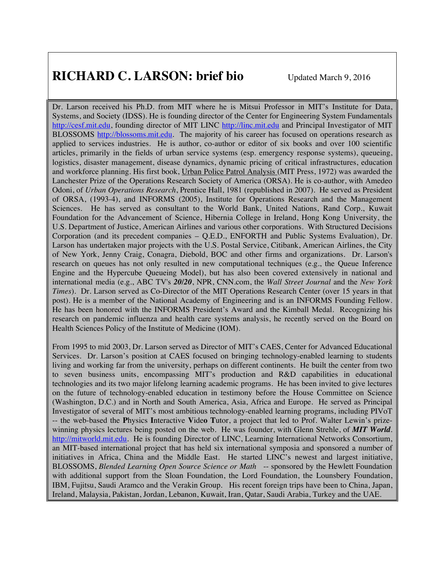# **RICHARD C. LARSON: brief bio** Updated March 9, 2016

Dr. Larson received his Ph.D. from MIT where he is Mitsui Professor in MIT's Institute for Data, Systems, and Society (IDSS). He is founding director of the Center for Engineering System Fundamentals http://cesf.mit.edu, founding director of MIT LINC http://linc.mit.edu and Principal Investigator of MIT BLOSSOMS http://blossoms.mit.edu. The majority of his career has focused on operations research as applied to services industries. He is author, co-author or editor of six books and over 100 scientific articles, primarily in the fields of urban service systems (esp. emergency response systems), queueing, logistics, disaster management, disease dynamics, dynamic pricing of critical infrastructures, education and workforce planning. His first book, Urban Police Patrol Analysis (MIT Press, 1972) was awarded the Lanchester Prize of the Operations Research Society of America (ORSA). He is co-author, with Amedeo Odoni, of *Urban Operations Research*, Prentice Hall, 1981 (republished in 2007). He served as President of ORSA, (1993-4), and INFORMS (2005), Institute for Operations Research and the Management Sciences. He has served as consultant to the World Bank, United Nations, Rand Corp., Kuwait Foundation for the Advancement of Science, Hibernia College in Ireland, Hong Kong University, the U.S. Department of Justice, American Airlines and various other corporations. With Structured Decisions Corporation (and its precedent companies – Q.E.D., ENFORTH and Public Systems Evaluation), Dr. Larson has undertaken major projects with the U.S. Postal Service, Citibank, American Airlines, the City of New York, Jenny Craig, Conagra, Diebold, BOC and other firms and organizations. Dr. Larson's research on queues has not only resulted in new computational techniques (e.g., the Queue Inference Engine and the Hypercube Queueing Model), but has also been covered extensively in national and international media (e.g., ABC TV's *20/20*, NPR, CNN.com, the *Wall Street Journal* and the *New York Times*). Dr. Larson served as Co-Director of the MIT Operations Research Center (over 15 years in that post). He is a member of the National Academy of Engineering and is an INFORMS Founding Fellow. He has been honored with the INFORMS President's Award and the Kimball Medal. Recognizing his research on pandemic influenza and health care systems analysis, he recently served on the Board on Health Sciences Policy of the Institute of Medicine (IOM).

From 1995 to mid 2003, Dr. Larson served as Director of MIT's CAES, Center for Advanced Educational Services. Dr. Larson's position at CAES focused on bringing technology-enabled learning to students living and working far from the university, perhaps on different continents. He built the center from two to seven business units, encompassing MIT's production and R&D capabilities in educational technologies and its two major lifelong learning academic programs. He has been invited to give lectures on the future of technology-enabled education in testimony before the House Committee on Science (Washington, D.C.) and in North and South America, Asia, Africa and Europe. He served as Principal Investigator of several of MIT's most ambitious technology-enabled learning programs, including PIVoT -- the web-based the **P**hysics **I**nteractive **V**ide**o T**utor, a project that led to Prof. Walter Lewin's prizewinning physics lectures being posted on the web. He was founder, with Glenn Strehle, of *MIT World*. http://mitworld.mit.edu. He is founding Director of LINC, Learning International Networks Consortium, an MIT-based international project that has held six international symposia and sponsored a number of initiatives in Africa, China and the Middle East. He started LINC's newest and largest initiative, BLOSSOMS, *Blended Learning Open Source Science or Math* -- sponsored by the Hewlett Foundation with additional support from the Sloan Foundation, the Lord Foundation, the Lounsbery Foundation, IBM, Fujitsu, Saudi Aramco and the Verakin Group. His recent foreign trips have been to China, Japan, Ireland, Malaysia, Pakistan, Jordan, Lebanon, Kuwait, Iran, Qatar, Saudi Arabia, Turkey and the UAE.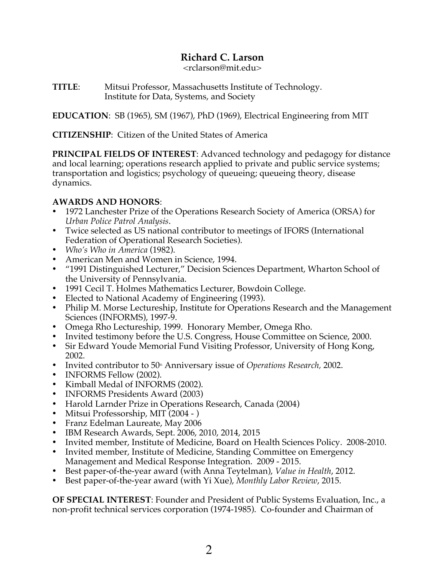# **Richard C. Larson**

<rclarson@mit.edu>

**TITLE**: Mitsui Professor, Massachusetts Institute of Technology. Institute for Data, Systems, and Society

**EDUCATION**: SB (1965), SM (1967), PhD (1969), Electrical Engineering from MIT

**CITIZENSHIP**: Citizen of the United States of America

**PRINCIPAL FIELDS OF INTEREST**: Advanced technology and pedagogy for distance and local learning; operations research applied to private and public service systems; transportation and logistics; psychology of queueing; queueing theory, disease dynamics.

# **AWARDS AND HONORS**:

- 1972 Lanchester Prize of the Operations Research Society of America (ORSA) for *Urban Police Patrol Analysis*.
- Twice selected as US national contributor to meetings of IFORS (International Federation of Operational Research Societies).
- *Who's Who in America* (1982).
- American Men and Women in Science, 1994.
- "1991 Distinguished Lecturer," Decision Sciences Department, Wharton School of the University of Pennsylvania.
- 1991 Cecil T. Holmes Mathematics Lecturer, Bowdoin College.
- Elected to National Academy of Engineering (1993).
- Philip M. Morse Lectureship, Institute for Operations Research and the Management Sciences (INFORMS), 1997-9.
- Omega Rho Lectureship, 1999. Honorary Member, Omega Rho.
- Invited testimony before the U.S. Congress, House Committee on Science, 2000.
- Sir Edward Youde Memorial Fund Visiting Professor, University of Hong Kong, 2002.
- Invited contributor to 50<sup>th</sup> Anniversary issue of *Operations Research*, 2002.
- INFORMS Fellow (2002).
- Kimball Medal of INFORMS (2002).
- INFORMS Presidents Award (2003)
- Harold Larnder Prize in Operations Research, Canada (2004)
- Mitsui Professorship, MIT (2004 )
- Franz Edelman Laureate, May 2006
- IBM Research Awards, Sept. 2006, 2010, 2014, 2015
- Invited member, Institute of Medicine, Board on Health Sciences Policy. 2008-2010.
- Invited member, Institute of Medicine, Standing Committee on Emergency Management and Medical Response Integration. 2009 - 2015.
- Best paper-of-the-year award (with Anna Teytelman), *Value in Health*, 2012.
- Best paper-of-the-year award (with Yi Xue), *Monthly Labor Review*, 2015.

**OF SPECIAL INTEREST**: Founder and President of Public Systems Evaluation, Inc., a non-profit technical services corporation (1974-1985). Co-founder and Chairman of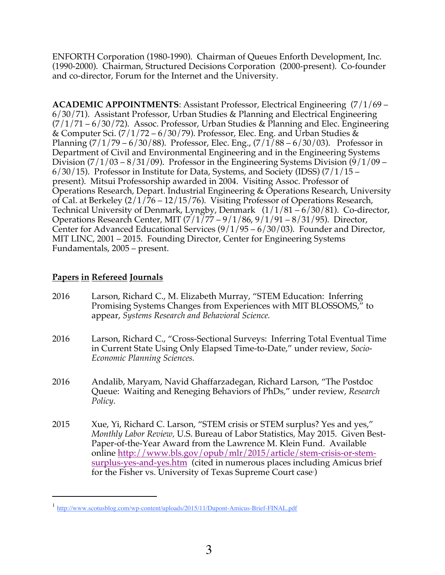ENFORTH Corporation (1980-1990). Chairman of Queues Enforth Development, Inc. (1990-2000). Chairman, Structured Decisions Corporation (2000-present). Co-founder and co-director, Forum for the Internet and the University.

**ACADEMIC APPOINTMENTS**: Assistant Professor, Electrical Engineering (7/1/69 – 6/30/71). Assistant Professor, Urban Studies & Planning and Electrical Engineering  $(7/1/71 - 6/30/72)$ . Assoc. Professor, Urban Studies & Planning and Elec. Engineering & Computer Sci.  $(7/1/72 - 6/30/79)$ . Professor, Elec. Eng. and Urban Studies & Planning  $(7/1/79 - 6/30/88)$ . Professor, Elec. Eng.,  $(7/1/88 - 6/30/03)$ . Professor in Department of Civil and Environmental Engineering and in the Engineering Systems Division  $\left(\frac{7}{1}\right)$  = 8/31/09). Professor in the Engineering Systems Division (9/1/09 –  $6/30/15$ ). Professor in Institute for Data, Systems, and Society (IDSS)  $(7/1/15$ present). Mitsui Professorship awarded in 2004. Visiting Assoc. Professor of Operations Research, Depart. Industrial Engineering & Operations Research, University of Cal. at Berkeley (2/1/76 – 12/15/76). Visiting Professor of Operations Research, Technical University of Denmark, Lyngby, Denmark (1/1/81 – 6/30/81). Co-director, Operations Research Center, MIT (7/1/77 – 9/1/86, 9/1/91 – 8/31/95). Director, Center for Advanced Educational Services  $(9/1/95 - 6/30/03)$ . Founder and Director, MIT LINC, 2001 – 2015. Founding Director, Center for Engineering Systems Fundamentals, 2005 – present.

# **Papers in Refereed Journals**

- 2016 Larson, Richard C., M. Elizabeth Murray, "STEM Education: Inferring Promising Systems Changes from Experiences with MIT BLOSSOMS," to appear, *Systems Research and Behavioral Science.*
- 2016 Larson, Richard C., "Cross-Sectional Surveys: Inferring Total Eventual Time in Current State Using Only Elapsed Time-to-Date," under review, *Socio-Economic Planning Sciences.*
- 2016 Andalib, Maryam, Navid Ghaffarzadegan, Richard Larson, "The Postdoc Queue: Waiting and Reneging Behaviors of PhDs," under review, *Research Policy.*
- 2015 Xue, Yi, Richard C. Larson, "STEM crisis or STEM surplus? Yes and yes," *Monthly Labor Review,* U.S. Bureau of Labor Statistics*,* May 2015. Given Best-Paper-of-the-Year Award from the Lawrence M. Klein Fund. Available online http://www.bls.gov/opub/mlr/2015/article/stem-crisis-or-stemsurplus-yes-and-yes.htm (cited in numerous places including Amicus brief for the Fisher vs. University of Texas Supreme Court case)

 <sup>1</sup> http://www.scotusblog.com/wp-content/uploads/2015/11/Dupont-Amicus-Brief-FINAL.pdf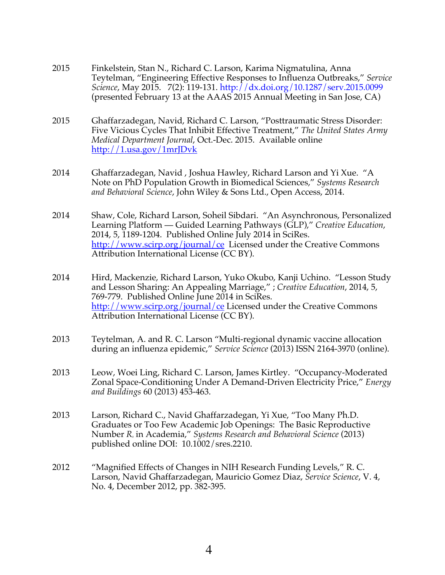- 2015 Finkelstein, Stan N., Richard C. Larson, Karima Nigmatulina, Anna Teytelman, "Engineering Effective Responses to Influenza Outbreaks," *Service Science*, May 2015. 7(2): 119-131. http://dx.doi.org/10.1287/serv.2015.0099 (presented February 13 at the AAAS 2015 Annual Meeting in San Jose, CA)
- 2015 Ghaffarzadegan, Navid, Richard C. Larson, "Posttraumatic Stress Disorder: Five Vicious Cycles That Inhibit Effective Treatment," *The United States Army Medical Department Journal*, Oct.-Dec. 2015. Available online http://1.usa.gov/1mrJDvk
- 2014 Ghaffarzadegan, Navid , Joshua Hawley, Richard Larson and Yi Xue. "A Note on PhD Population Growth in Biomedical Sciences," *Systems Research and Behavioral Science*, John Wiley & Sons Ltd., Open Access, 2014.
- 2014 Shaw, Cole, Richard Larson, Soheil Sibdari. "An Asynchronous, Personalized Learning Platform ― Guided Learning Pathways (GLP)," *Creative Education*, 2014, 5, 1189-1204. Published Online July 2014 in SciRes. http://www.scirp.org/journal/ce Licensed under the Creative Commons Attribution International License (CC BY).
- 2014 Hird, Mackenzie, Richard Larson, Yuko Okubo, Kanji Uchino. "Lesson Study and Lesson Sharing: An Appealing Marriage," ; *Creative Education*, 2014, 5, 769-779. Published Online June 2014 in SciRes. http://www.scirp.org/journal/ce Licensed under the Creative Commons Attribution International License (CC BY).
- 2013 Teytelman, A. and R. C. Larson "Multi-regional dynamic vaccine allocation during an influenza epidemic," *Service Science* (2013) ISSN 2164-3970 (online).
- 2013 Leow, Woei Ling, Richard C. Larson, James Kirtley. "Occupancy-Moderated Zonal Space-Conditioning Under A Demand-Driven Electricity Price," *Energy and Buildings* 60 (2013) 453-463.
- 2013 Larson, Richard C., Navid Ghaffarzadegan, Yi Xue, "Too Many Ph.D. Graduates or Too Few Academic Job Openings: The Basic Reproductive Number *R0* in Academia," *Systems Research and Behavioral Science* (2013) published online DOI: 10.1002/sres.2210.
- 2012 "Magnified Effects of Changes in NIH Research Funding Levels," R. C. Larson, Navid Ghaffarzadegan, Mauricio Gomez Diaz, *Service Science*, V. 4, No. 4, December 2012, pp. 382-395.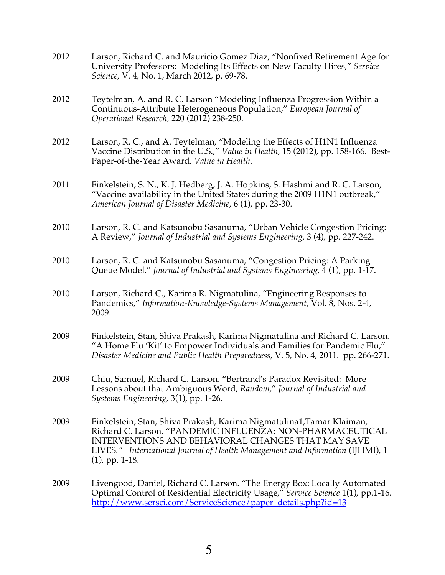| 2012 | Larson, Richard C. and Mauricio Gomez Diaz, "Nonfixed Retirement Age for<br>University Professors: Modeling Its Effects on New Faculty Hires," Service<br>Science, V. 4, No. 1, March 2012, p. 69-78.                                                                                                  |
|------|--------------------------------------------------------------------------------------------------------------------------------------------------------------------------------------------------------------------------------------------------------------------------------------------------------|
| 2012 | Teytelman, A. and R. C. Larson "Modeling Influenza Progression Within a<br>Continuous-Attribute Heterogeneous Population," European Journal of<br>Operational Research, 220 (2012) 238-250.                                                                                                            |
| 2012 | Larson, R. C., and A. Teytelman, "Modeling the Effects of H1N1 Influenza<br>Vaccine Distribution in the U.S.," Value in Health, 15 (2012), pp. 158-166. Best-<br>Paper-of-the-Year Award, Value in Health.                                                                                             |
| 2011 | Finkelstein, S. N., K. J. Hedberg, J. A. Hopkins, S. Hashmi and R. C. Larson,<br>"Vaccine availability in the United States during the 2009 H1N1 outbreak,"<br>American Journal of Disaster Medicine, 6 (1), pp. 23-30.                                                                                |
| 2010 | Larson, R. C. and Katsunobu Sasanuma, "Urban Vehicle Congestion Pricing:<br>A Review," Journal of Industrial and Systems Engineering, 3 (4), pp. 227-242.                                                                                                                                              |
| 2010 | Larson, R. C. and Katsunobu Sasanuma, "Congestion Pricing: A Parking<br>Queue Model," Journal of Industrial and Systems Engineering, 4(1), pp. 1-17.                                                                                                                                                   |
| 2010 | Larson, Richard C., Karima R. Nigmatulina, "Engineering Responses to<br>Pandemics," Information-Knowledge-Systems Management, Vol. 8, Nos. 2-4,<br>2009.                                                                                                                                               |
| 2009 | Finkelstein, Stan, Shiva Prakash, Karima Nigmatulina and Richard C. Larson.<br>"A Home Flu 'Kit' to Empower Individuals and Families for Pandemic Flu,"<br>Disaster Medicine and Public Health Preparedness, V. 5, No. 4, 2011. pp. 266-271.                                                           |
| 2009 | Chiu, Samuel, Richard C. Larson. "Bertrand's Paradox Revisited: More<br>Lessons about that Ambiguous Word, Random," Journal of Industrial and<br>Systems Engineering, 3(1), pp. 1-26.                                                                                                                  |
| 2009 | Finkelstein, Stan, Shiva Prakash, Karima Nigmatulina1, Tamar Klaiman,<br>Richard C. Larson, "PANDEMIC INFLUENZA: NON-PHARMACEUTICAL<br><b>INTERVENTIONS AND BEHAVIORAL CHANGES THAT MAY SAVE</b><br>LIVES." International Journal of Health Management and Information (IJHMI), 1<br>$(1)$ , pp. 1-18. |
| 2009 | Livengood, Daniel, Richard C. Larson. "The Energy Box: Locally Automated<br>Optimal Control of Residential Electricity Usage," Service Science 1(1), pp.1-16.<br>http://www.sersci.com/ServiceScience/paper_details.php?id=13                                                                          |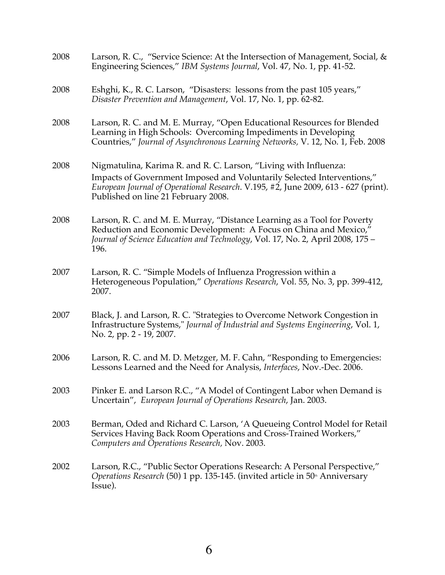| 2008 | Larson, R. C., "Service Science: At the Intersection of Management, Social, &<br>Engineering Sciences," IBM Systems Journal, Vol. 47, No. 1, pp. 41-52.                                                                                                                 |
|------|-------------------------------------------------------------------------------------------------------------------------------------------------------------------------------------------------------------------------------------------------------------------------|
| 2008 | Eshghi, K., R. C. Larson, "Disasters: lessons from the past 105 years,"<br>Disaster Prevention and Management, Vol. 17, No. 1, pp. 62-82.                                                                                                                               |
| 2008 | Larson, R. C. and M. E. Murray, "Open Educational Resources for Blended<br>Learning in High Schools: Overcoming Impediments in Developing<br>Countries," Journal of Asynchronous Learning Networks, V. 12, No. 1, Feb. 2008                                             |
| 2008 | Nigmatulina, Karima R. and R. C. Larson, "Living with Influenza:<br>Impacts of Government Imposed and Voluntarily Selected Interventions,"<br>European Journal of Operational Research. V.195, #2, June 2009, 613 - 627 (print).<br>Published on line 21 February 2008. |
| 2008 | Larson, R. C. and M. E. Murray, "Distance Learning as a Tool for Poverty<br>Reduction and Economic Development: A Focus on China and Mexico,"<br>Journal of Science Education and Technology, Vol. 17, No. 2, April 2008, 175 -<br>196.                                 |
| 2007 | Larson, R. C. "Simple Models of Influenza Progression within a<br>Heterogeneous Population," Operations Research, Vol. 55, No. 3, pp. 399-412,<br>2007.                                                                                                                 |
| 2007 | Black, J. and Larson, R. C. "Strategies to Overcome Network Congestion in<br>Infrastructure Systems," Journal of Industrial and Systems Engineering, Vol. 1,<br>No. 2, pp. 2 - 19, 2007.                                                                                |
| 2006 | Larson, R. C. and M. D. Metzger, M. F. Cahn, "Responding to Emergencies:<br>Lessons Learned and the Need for Analysis, Interfaces, Nov.-Dec. 2006.                                                                                                                      |
| 2003 | Pinker E. and Larson R.C., "A Model of Contingent Labor when Demand is<br>Uncertain", European Journal of Operations Research, Jan. 2003.                                                                                                                               |
| 2003 | Berman, Oded and Richard C. Larson, 'A Queueing Control Model for Retail<br>Services Having Back Room Operations and Cross-Trained Workers,"<br>Computers and Operations Research, Nov. 2003.                                                                           |
| 2002 | Larson, R.C., "Public Sector Operations Research: A Personal Perspective,"<br>Operations Research (50) 1 pp. 135-145. (invited article in 50 <sup>th</sup> Anniversary<br>Issue).                                                                                       |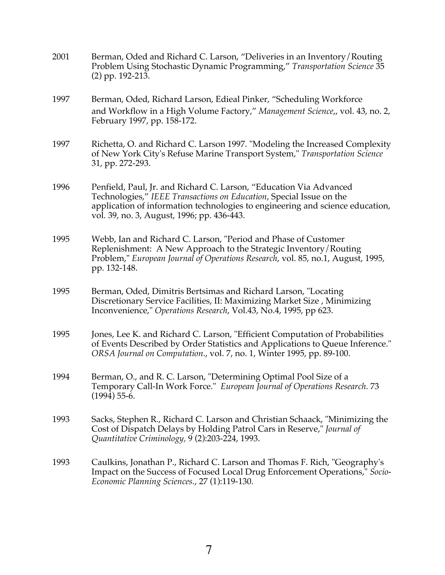- 2001 Berman, Oded and Richard C. Larson, "Deliveries in an Inventory/Routing Problem Using Stochastic Dynamic Programming," *Transportation Science* 35 (2) pp. 192-213.
- 1997 Berman, Oded, Richard Larson, Edieal Pinker, "Scheduling Workforce and Workflow in a High Volume Factory," *Management Science*,, vol. 43, no. 2, February 1997, pp. 158-172.
- 1997 Richetta, O. and Richard C. Larson 1997. "Modeling the Increased Complexity of New York City's Refuse Marine Transport System," *Transportation Science* 31, pp. 272-293.
- 1996 Penfield, Paul, Jr. and Richard C. Larson, "Education Via Advanced Technologies," *IEEE Transactions on Education*, Special Issue on the application of information technologies to engineering and science education, vol. 39, no. 3, August, 1996; pp. 436-443.
- 1995 Webb, Ian and Richard C. Larson, "Period and Phase of Customer Replenishment: A New Approach to the Strategic Inventory/Routing Problem," *European Journal of Operations Research*, vol. 85, no.1, August, 1995, pp. 132-148.
- 1995 Berman, Oded, Dimitris Bertsimas and Richard Larson, "Locating Discretionary Service Facilities, II: Maximizing Market Size , Minimizing Inconvenience," *Operations Research*, Vol.43, No.4, 1995, pp 623.
- 1995 Jones, Lee K. and Richard C. Larson, "Efficient Computation of Probabilities of Events Described by Order Statistics and Applications to Queue Inference." *ORSA Journal on Computation*., vol. 7, no. 1, Winter 1995, pp. 89-100.
- 1994 Berman, O., and R. C. Larson, "Determining Optimal Pool Size of a Temporary Call-In Work Force." *European Journal of Operations Research*. 73 (1994) 55-6.
- 1993 Sacks, Stephen R., Richard C. Larson and Christian Schaack, "Minimizing the Cost of Dispatch Delays by Holding Patrol Cars in Reserve," *Journal of Quantitative Criminology,* 9 (2):203-224, 1993.
- 1993 Caulkins, Jonathan P., Richard C. Larson and Thomas F. Rich, "Geography's Impact on the Success of Focused Local Drug Enforcement Operations," *Socio-Economic Planning Sciences.*, 27 (1):119-130.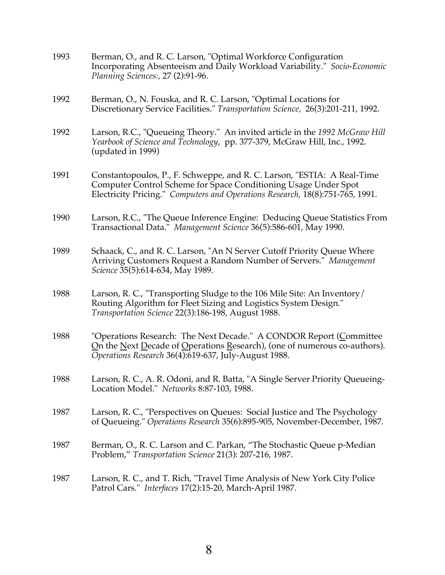| 1993 | Berman, O., and R. C. Larson, "Optimal Workforce Configuration<br>Incorporating Absenteeism and Daily Workload Variability." Socio-Economic<br>Planning Sciences:, 27 (2):91-96.                                            |
|------|-----------------------------------------------------------------------------------------------------------------------------------------------------------------------------------------------------------------------------|
| 1992 | Berman, O., N. Fouska, and R. C. Larson, "Optimal Locations for<br>Discretionary Service Facilities." Transportation Science, 26(3):201-211, 1992.                                                                          |
| 1992 | Larson, R.C., "Queueing Theory." An invited article in the 1992 McGraw Hill<br>Yearbook of Science and Technology, pp. 377-379, McGraw Hill, Inc., 1992.<br>(updated in 1999)                                               |
| 1991 | Constantopoulos, P., F. Schweppe, and R. C. Larson, "ESTIA: A Real-Time<br>Computer Control Scheme for Space Conditioning Usage Under Spot<br>Electricity Pricing." Computers and Operations Research, 18(8):751-765, 1991. |
| 1990 | Larson, R.C., "The Queue Inference Engine: Deducing Queue Statistics From<br>Transactional Data." Management Science 36(5):586-601, May 1990.                                                                               |
| 1989 | Schaack, C., and R. C. Larson, "An N Server Cutoff Priority Queue Where<br>Arriving Customers Request a Random Number of Servers." Management<br>Science 35(5):614-634, May 1989.                                           |
| 1988 | Larson, R. C., "Transporting Sludge to the 106 Mile Site: An Inventory/<br>Routing Algorithm for Fleet Sizing and Logistics System Design."<br>Transportation Science 22(3):186-198, August 1988.                           |
| 1988 | "Operations Research: The Next Decade." A CONDOR Report (Committee<br>On the Next Decade of Operations Research), (one of numerous co-authors).<br>Operations Research 36(4):619-637, July-August 1988.                     |
| 1988 | Larson, R. C., A. R. Odoni, and R. Batta, "A Single Server Priority Queueing-<br>Location Model." Networks 8:87-103, 1988.                                                                                                  |
| 1987 | Larson, R. C., "Perspectives on Queues: Social Justice and The Psychology<br>of Queueing." Operations Research 35(6):895-905, November-December, 1987.                                                                      |
| 1987 | Berman, O., R. C. Larson and C. Parkan, "The Stochastic Queue p-Median<br>Problem," Transportation Science 21(3): 207-216, 1987.                                                                                            |
| 1987 | Larson, R. C., and T. Rich, "Travel Time Analysis of New York City Police<br>Patrol Cars." Interfaces 17(2):15-20, March-April 1987.                                                                                        |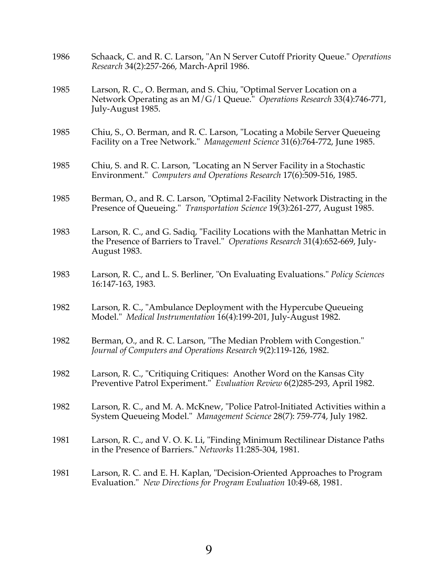| 1986 | Schaack, C. and R. C. Larson, "An N Server Cutoff Priority Queue." Operations<br>Research 34(2):257-266, March-April 1986.                                                     |
|------|--------------------------------------------------------------------------------------------------------------------------------------------------------------------------------|
| 1985 | Larson, R. C., O. Berman, and S. Chiu, "Optimal Server Location on a<br>Network Operating as an M/G/1 Queue." Operations Research 33(4):746-771,<br>July-August 1985.          |
| 1985 | Chiu, S., O. Berman, and R. C. Larson, "Locating a Mobile Server Queueing<br>Facility on a Tree Network." Management Science 31(6):764-772, June 1985.                         |
| 1985 | Chiu, S. and R. C. Larson, "Locating an N Server Facility in a Stochastic<br>Environment." Computers and Operations Research 17(6):509-516, 1985.                              |
| 1985 | Berman, O., and R. C. Larson, "Optimal 2-Facility Network Distracting in the<br>Presence of Queueing." Transportation Science 19(3):261-277, August 1985.                      |
| 1983 | Larson, R. C., and G. Sadiq, "Facility Locations with the Manhattan Metric in<br>the Presence of Barriers to Travel." Operations Research 31(4):652-669, July-<br>August 1983. |
| 1983 | Larson, R. C., and L. S. Berliner, "On Evaluating Evaluations." Policy Sciences<br>16:147-163, 1983.                                                                           |
| 1982 | Larson, R. C., "Ambulance Deployment with the Hypercube Queueing<br>Model." Medical Instrumentation 16(4):199-201, July-August 1982.                                           |
| 1982 | Berman, O., and R. C. Larson, "The Median Problem with Congestion."<br>Journal of Computers and Operations Research 9(2):119-126, 1982.                                        |
| 1982 | Larson, R. C., "Critiquing Critiques: Another Word on the Kansas City<br>Preventive Patrol Experiment." Evaluation Review 6(2)285-293, April 1982.                             |
| 1982 | Larson, R. C., and M. A. McKnew, "Police Patrol-Initiated Activities within a<br>System Queueing Model." Management Science 28(7): 759-774, July 1982.                         |
| 1981 | Larson, R. C., and V. O. K. Li, "Finding Minimum Rectilinear Distance Paths<br>in the Presence of Barriers." Networks 11:285-304, 1981.                                        |
| 1981 | Larson, R. C. and E. H. Kaplan, "Decision-Oriented Approaches to Program<br>Evaluation." New Directions for Program Evaluation 10:49-68, 1981.                                 |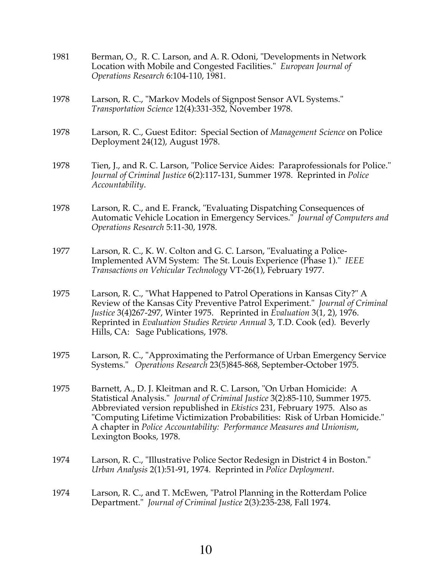| 1981 | Berman, O., R. C. Larson, and A. R. Odoni, "Developments in Network<br>Location with Mobile and Congested Facilities." European Journal of<br>Operations Research 6:104-110, 1981.                                                                                                                                                                                                                              |
|------|-----------------------------------------------------------------------------------------------------------------------------------------------------------------------------------------------------------------------------------------------------------------------------------------------------------------------------------------------------------------------------------------------------------------|
| 1978 | Larson, R. C., "Markov Models of Signpost Sensor AVL Systems."<br>Transportation Science 12(4):331-352, November 1978.                                                                                                                                                                                                                                                                                          |
| 1978 | Larson, R. C., Guest Editor: Special Section of Management Science on Police<br>Deployment 24(12), August 1978.                                                                                                                                                                                                                                                                                                 |
| 1978 | Tien, J., and R. C. Larson, "Police Service Aides: Paraprofessionals for Police."<br>Journal of Criminal Justice 6(2):117-131, Summer 1978. Reprinted in Police<br>Accountability.                                                                                                                                                                                                                              |
| 1978 | Larson, R. C., and E. Franck, "Evaluating Dispatching Consequences of<br>Automatic Vehicle Location in Emergency Services." Journal of Computers and<br>Operations Research 5:11-30, 1978.                                                                                                                                                                                                                      |
| 1977 | Larson, R. C., K. W. Colton and G. C. Larson, "Evaluating a Police-<br>Implemented AVM System: The St. Louis Experience (Phase 1)." IEEE<br>Transactions on Vehicular Technology VT-26(1), February 1977.                                                                                                                                                                                                       |
| 1975 | Larson, R. C., "What Happened to Patrol Operations in Kansas City?" A<br>Review of the Kansas City Preventive Patrol Experiment." Journal of Criminal<br>Justice 3(4)267-297, Winter 1975. Reprinted in Evaluation 3(1, 2), 1976.<br>Reprinted in Evaluation Studies Review Annual 3, T.D. Cook (ed). Beverly<br>Hills, CA: Sage Publications, 1978.                                                            |
| 1975 | Larson, R. C., "Approximating the Performance of Urban Emergency Service<br>Systems." Operations Research 23(5)845-868, September-October 1975.                                                                                                                                                                                                                                                                 |
| 1975 | Barnett, A., D. J. Kleitman and R. C. Larson, "On Urban Homicide: A<br>Statistical Analysis." Journal of Criminal Justice 3(2):85-110, Summer 1975.<br>Abbreviated version republished in Ekistics 231, February 1975. Also as<br>"Computing Lifetime Victimization Probabilities: Risk of Urban Homicide."<br>A chapter in Police Accountability: Performance Measures and Unionism,<br>Lexington Books, 1978. |
| 1974 | Larson, R. C., "Illustrative Police Sector Redesign in District 4 in Boston."<br>Urban Analysis 2(1):51-91, 1974. Reprinted in Police Deployment.                                                                                                                                                                                                                                                               |
| 1974 | Larson, R. C., and T. McEwen, "Patrol Planning in the Rotterdam Police<br>Department." Journal of Criminal Justice 2(3):235-238, Fall 1974.                                                                                                                                                                                                                                                                     |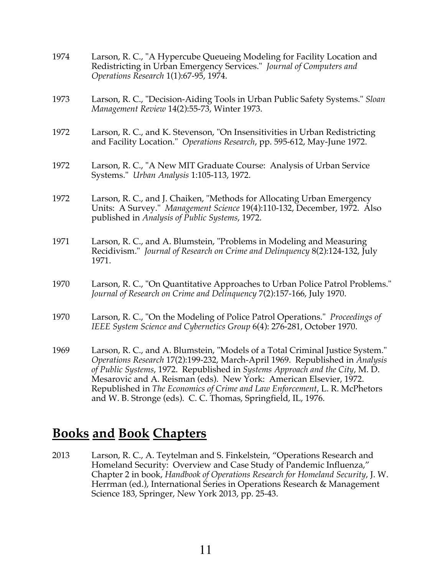- 1974 Larson, R. C., "A Hypercube Queueing Modeling for Facility Location and Redistricting in Urban Emergency Services." *Journal of Computers and Operations Research* 1(1):67-95, 1974.
- 1973 Larson, R. C., "Decision-Aiding Tools in Urban Public Safety Systems." *Sloan Management Review* 14(2):55-73, Winter 1973.
- 1972 Larson, R. C., and K. Stevenson, "On Insensitivities in Urban Redistricting and Facility Location." *Operations Research*, pp. 595-612, May-June 1972.
- 1972 Larson, R. C., "A New MIT Graduate Course: Analysis of Urban Service Systems." *Urban Analysis* 1:105-113, 1972.
- 1972 Larson, R. C., and J. Chaiken, "Methods for Allocating Urban Emergency Units: A Survey." *Management Science* 19(4):110-132, December, 1972. Also published in *Analysis of Public Systems*, 1972.
- 1971 Larson, R. C., and A. Blumstein, "Problems in Modeling and Measuring Recidivism." *Journal of Research on Crime and Delinquency* 8(2):124-132, July 1971.
- 1970 Larson, R. C., "On Quantitative Approaches to Urban Police Patrol Problems." *Journal of Research on Crime and Delinquency* 7(2):157-166, July 1970.
- 1970 Larson, R. C., "On the Modeling of Police Patrol Operations." *Proceedings of IEEE System Science and Cybernetics Group* 6(4): 276-281, October 1970.
- 1969 Larson, R. C., and A. Blumstein, "Models of a Total Criminal Justice System." *Operations Research* 17(2):199-232, March-April 1969. Republished in *Analysis of Public Systems*, 1972. Republished in *Systems Approach and the City*, M. D. Mesarovic and A. Reisman (eds). New York: American Elsevier, 1972. Republished in *The Economics of Crime and Law Enforcement*, L. R. McPhetors and W. B. Stronge (eds). C. C. Thomas, Springfield, IL, 1976.

# **Books and Book Chapters**

2013 Larson, R. C., A. Teytelman and S. Finkelstein, "Operations Research and Homeland Security: Overview and Case Study of Pandemic Influenza," Chapter 2 in book, *Handbook of Operations Research for Homeland Security*, J. W. Herrman (ed.), International Series in Operations Research & Management Science 183, Springer, New York 2013, pp. 25-43.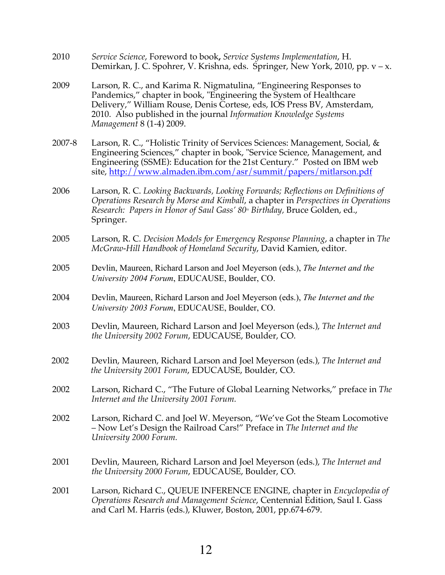- 2010 *Service Science*, Foreword to book**,** *Service Systems Implementation*, H. Demirkan, J. C. Spohrer, V. Krishna, eds. Springer, New York, 2010, pp. v – x.
- 2009 Larson, R. C., and Karima R. Nigmatulina, "Engineering Responses to Pandemics," chapter in book, "Engineering the System of Healthcare Delivery," William Rouse, Denis Cortese, eds, IOS Press BV, Amsterdam, 2010. Also published in the journal *Information Knowledge Systems Management* 8 (1-4) 2009.
- 2007-8 Larson, R. C., "Holistic Trinity of Services Sciences: Management, Social, & Engineering Sciences," chapter in book, "Service Science, Management, and Engineering (SSME): Education for the 21st Century." Posted on IBM web site, http://www.almaden.ibm.com/asr/summit/papers/mitlarson.pdf
- 2006 Larson, R. C. *Looking Backwards, Looking Forwards; Reflections on Definitions of Operations Research by Morse and Kimball*, a chapter in *Perspectives in Operations Research: Papers in Honor of Saul Gass' 80<sup>\*</sup> Birthday, Bruce Golden, ed.,* Springer.
- 2005 Larson, R. C. *Decision Models for Emergency Response Planning*, a chapter in *The McGraw-Hill Handbook of Homeland Security*, David Kamien, editor.
- 2005 Devlin, Maureen, Richard Larson and Joel Meyerson (eds.), *The Internet and the University 2004 Forum*, EDUCAUSE, Boulder, CO.
- 2004 Devlin, Maureen, Richard Larson and Joel Meyerson (eds.), *The Internet and the University 2003 Forum*, EDUCAUSE, Boulder, CO.
- 2003 Devlin, Maureen, Richard Larson and Joel Meyerson (eds.), *The Internet and the University 2002 Forum*, EDUCAUSE, Boulder, CO.
- 2002 Devlin, Maureen, Richard Larson and Joel Meyerson (eds.), *The Internet and the University 2001 Forum*, EDUCAUSE, Boulder, CO.
- 2002 Larson, Richard C., "The Future of Global Learning Networks," preface in *The Internet and the University 2001 Forum.*
- 2002 Larson, Richard C. and Joel W. Meyerson, "We've Got the Steam Locomotive – Now Let's Design the Railroad Cars!" Preface in *The Internet and the University 2000 Forum.*
- 2001 Devlin, Maureen, Richard Larson and Joel Meyerson (eds.), *The Internet and the University 2000 Forum*, EDUCAUSE, Boulder, CO.
- 2001 Larson, Richard C., QUEUE INFERENCE ENGINE, chapter in *Encyclopedia of Operations Research and Management Science*, Centennial Edition, Saul I. Gass and Carl M. Harris (eds.), Kluwer, Boston, 2001, pp.674-679.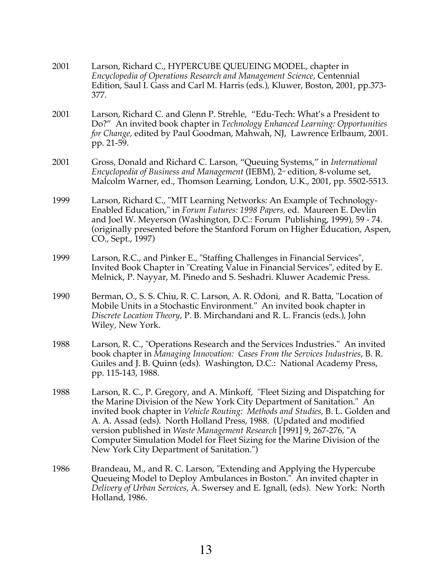| 2001 | Larson, Richard C., HYPERCUBE QUEUEING MODEL, chapter in<br>Encyclopedia of Operations Research and Management Science, Centennial<br>Edition, Saul I. Gass and Carl M. Harris (eds.), Kluwer, Boston, 2001, pp.373-<br>377.                                                                                                                                                                                                                                                                                      |
|------|-------------------------------------------------------------------------------------------------------------------------------------------------------------------------------------------------------------------------------------------------------------------------------------------------------------------------------------------------------------------------------------------------------------------------------------------------------------------------------------------------------------------|
| 2001 | Larson, Richard C. and Glenn P. Strehle, "Edu-Tech: What's a President to<br>Do?" An invited book chapter in Technology Enhanced Learning: Opportunities<br>for Change, edited by Paul Goodman, Mahwah, NJ, Lawrence Erlbaum, 2001.<br>pp. 21-59.                                                                                                                                                                                                                                                                 |
| 2001 | Gross, Donald and Richard C. Larson, "Queuing Systems," in International<br>Encyclopedia of Business and Management (IEBM), 2 <sup>nd</sup> edition, 8-volume set,<br>Malcolm Warner, ed., Thomson Learning, London, U.K., 2001, pp. 5502-5513.                                                                                                                                                                                                                                                                   |
| 1999 | Larson, Richard C., "MIT Learning Networks: An Example of Technology-<br>Enabled Education," in Forum Futures: 1998 Papers, ed. Maureen E. Devlin<br>and Joel W. Meyerson (Washington, D.C.: Forum Publishing, 1999), 59 - 74.<br>(originally presented before the Stanford Forum on Higher Education, Aspen,<br>CO., Sept., 1997)                                                                                                                                                                                |
| 1999 | Larson, R.C., and Pinker E., "Staffing Challenges in Financial Services",<br>Invited Book Chapter in "Creating Value in Financial Services", edited by E.<br>Melnick, P. Nayyar, M. Pinedo and S. Seshadri. Kluwer Academic Press.                                                                                                                                                                                                                                                                                |
| 1990 | Berman, O., S. S. Chiu, R. C. Larson, A. R. Odoni, and R. Batta, "Location of<br>Mobile Units in a Stochastic Environment." An invited book chapter in<br>Discrete Location Theory, P. B. Mirchandani and R. L. Francis (eds.), John<br>Wiley, New York.                                                                                                                                                                                                                                                          |
| 1988 | Larson, R. C., "Operations Research and the Services Industries." An invited<br>book chapter in Managing Innovation: Cases From the Services Industries, B. R.<br>Guiles and J. B. Quinn (eds). Washington, D.C.: National Academy Press,<br>pp. 115-143, 1988.                                                                                                                                                                                                                                                   |
| 1988 | Larson, R. C., P. Gregory, and A. Minkoff, "Fleet Sizing and Dispatching for<br>the Marine Division of the New York City Department of Sanitation." An<br>invited book chapter in Vehicle Routing: Methods and Studies, B. L. Golden and<br>A. A. Assad (eds). North Holland Press, 1988. (Updated and modified<br>version published in Waste Management Research [1991] 9, 267-276, "A<br>Computer Simulation Model for Fleet Sizing for the Marine Division of the<br>New York City Department of Sanitation.") |
| 1986 | Brandeau, M., and R. C. Larson, "Extending and Applying the Hypercube<br>Queueing Model to Deploy Ambulances in Boston." An invited chapter in<br>Delivery of Urban Services, A. Swersey and E. Ignall, (eds). New York: North<br>Holland, 1986.                                                                                                                                                                                                                                                                  |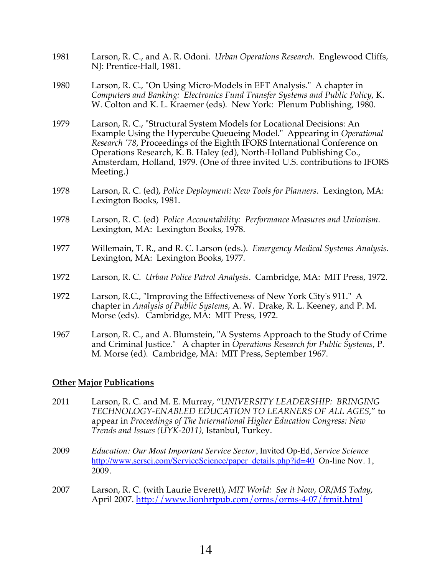- 1981 Larson, R. C., and A. R. Odoni. *Urban Operations Research*. Englewood Cliffs, NJ: Prentice-Hall, 1981.
- 1980 Larson, R. C., "On Using Micro-Models in EFT Analysis." A chapter in *Computers and Banking: Electronics Fund Transfer Systems and Public Policy*, K. W. Colton and K. L. Kraemer (eds). New York: Plenum Publishing, 1980.
- 1979 Larson, R. C., "Structural System Models for Locational Decisions: An Example Using the Hypercube Queueing Model." Appearing in *Operational Research '78*, Proceedings of the Eighth IFORS International Conference on Operations Research, K. B. Haley (ed), North-Holland Publishing Co., Amsterdam, Holland, 1979. (One of three invited U.S. contributions to IFORS Meeting.)
- 1978 Larson, R. C. (ed), *Police Deployment: New Tools for Planners*. Lexington, MA: Lexington Books, 1981.
- 1978 Larson, R. C. (ed) *Police Accountability: Performance Measures and Unionism*. Lexington, MA: Lexington Books, 1978.
- 1977 Willemain, T. R., and R. C. Larson (eds.). *Emergency Medical Systems Analysis*. Lexington, MA: Lexington Books, 1977.
- 1972 Larson, R. C. *Urban Police Patrol Analysis*. Cambridge, MA: MIT Press, 1972.
- 1972 Larson, R.C., "Improving the Effectiveness of New York City's 911." A chapter in *Analysis of Public Systems*, A. W. Drake, R. L. Keeney, and P. M. Morse (eds). Cambridge, MA: MIT Press, 1972.
- 1967 Larson, R. C., and A. Blumstein, "A Systems Approach to the Study of Crime and Criminal Justice." A chapter in *Operations Research for Public Systems*, P. M. Morse (ed). Cambridge, MA: MIT Press, September 1967.

#### **Other Major Publications**

- 2011 Larson, R. C. and M. E. Murray, "*UNIVERSITY LEADERSHIP: BRINGING TECHNOLOGY-ENABLED EDUCATION TO LEARNERS OF ALL AGES*," to appear in *Proceedings of The International Higher Education Congress: New Trends and Issues (UYK-2011),* Istanbul, Turkey.
- 2009 *Education: Our Most Important Service Sector*, Invited Op-Ed, *Service Science* http://www.sersci.com/ServiceScience/paper\_details.php?id=40On-line Nov. 1, 2009.
- 2007 Larson, R. C. (with Laurie Everett), *MIT World: See it Now, OR/MS Today*, April 2007. http://www.lionhrtpub.com/orms/orms-4-07/frmit.html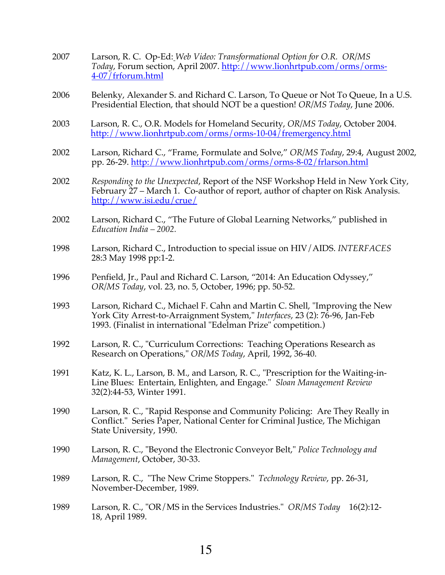| 2007 | Larson, R. C. Op-Ed: Web Video: Transformational Option for O.R. OR/MS<br>Today, Forum section, April 2007. http://www.lionhrtpub.com/orms/orms-<br><u>4-07 / frforum.html</u>                                               |
|------|------------------------------------------------------------------------------------------------------------------------------------------------------------------------------------------------------------------------------|
| 2006 | Belenky, Alexander S. and Richard C. Larson, To Queue or Not To Queue, In a U.S.<br>Presidential Election, that should NOT be a question! OR/MS Today, June 2006.                                                            |
| 2003 | Larson, R. C., O.R. Models for Homeland Security, OR/MS Today, October 2004.<br>http://www.lionhrtpub.com/orms/orms-10-04/fremergency.html                                                                                   |
| 2002 | Larson, Richard C., "Frame, Formulate and Solve," OR/MS Today, 29:4, August 2002,<br>pp. 26-29. http://www.lionhrtpub.com/orms/orms-8-02/frlarson.html                                                                       |
| 2002 | Responding to the Unexpected, Report of the NSF Workshop Held in New York City,<br>February 27 – March 1. Co-author of report, author of chapter on Risk Analysis.<br>http://www.isi.edu/crue/                               |
| 2002 | Larson, Richard C., "The Future of Global Learning Networks," published in<br>Education India $-2002$ .                                                                                                                      |
| 1998 | Larson, Richard C., Introduction to special issue on HIV/AIDS. INTERFACES<br>28:3 May 1998 pp:1-2.                                                                                                                           |
| 1996 | Penfield, Jr., Paul and Richard C. Larson, "2014: An Education Odyssey,"<br>OR/MS Today, vol. 23, no. 5, October, 1996; pp. 50-52.                                                                                           |
| 1993 | Larson, Richard C., Michael F. Cahn and Martin C. Shell, "Improving the New<br>York City Arrest-to-Arraignment System," Interfaces, 23 (2): 76-96, Jan-Feb<br>1993. (Finalist in international "Edelman Prize" competition.) |
| 1992 | Larson, R. C., "Curriculum Corrections: Teaching Operations Research as<br>Research on Operations," OR/MS Today, April, 1992, 36-40.                                                                                         |
| 1991 | Katz, K. L., Larson, B. M., and Larson, R. C., "Prescription for the Waiting-in-<br>Line Blues: Entertain, Enlighten, and Engage." Sloan Management Review<br>32(2):44-53, Winter 1991.                                      |
| 1990 | Larson, R. C., "Rapid Response and Community Policing: Are They Really in<br>Conflict." Series Paper, National Center for Criminal Justice, The Michigan<br>State University, 1990.                                          |
| 1990 | Larson, R. C., "Beyond the Electronic Conveyor Belt," Police Technology and<br>Management, October, 30-33.                                                                                                                   |
| 1989 | Larson, R. C., "The New Crime Stoppers." Technology Review, pp. 26-31,<br>November-December, 1989.                                                                                                                           |
| 1989 | Larson, R. C., "OR/MS in the Services Industries." OR/MS Today<br>$16(2):12-$<br>18, April 1989.                                                                                                                             |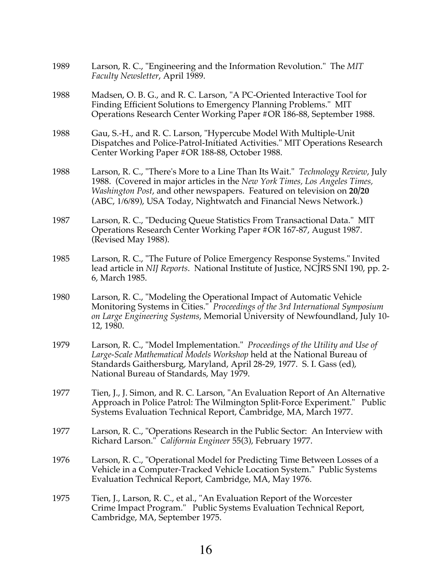| 1989 | Larson, R. C., "Engineering and the Information Revolution." The MIT<br>Faculty Newsletter, April 1989.                                                                                                                                                                                                     |
|------|-------------------------------------------------------------------------------------------------------------------------------------------------------------------------------------------------------------------------------------------------------------------------------------------------------------|
| 1988 | Madsen, O. B. G., and R. C. Larson, "A PC-Oriented Interactive Tool for<br>Finding Efficient Solutions to Emergency Planning Problems." MIT<br>Operations Research Center Working Paper #OR 186-88, September 1988.                                                                                         |
| 1988 | Gau, S.-H., and R. C. Larson, "Hypercube Model With Multiple-Unit<br>Dispatches and Police-Patrol-Initiated Activities." MIT Operations Research<br>Center Working Paper #OR 188-88, October 1988.                                                                                                          |
| 1988 | Larson, R. C., "There's More to a Line Than Its Wait." Technology Review, July<br>1988. (Covered in major articles in the New York Times, Los Angeles Times,<br>Washington Post, and other newspapers. Featured on television on 20/20<br>(ABC, 1/6/89), USA Today, Nightwatch and Financial News Network.) |
| 1987 | Larson, R. C., "Deducing Queue Statistics From Transactional Data." MIT<br>Operations Research Center Working Paper #OR 167-87, August 1987.<br>(Revised May 1988).                                                                                                                                         |
| 1985 | Larson, R. C., "The Future of Police Emergency Response Systems." Invited<br>lead article in NIJ Reports. National Institute of Justice, NCJRS SNI 190, pp. 2-<br>6, March 1985.                                                                                                                            |
| 1980 | Larson, R. C., "Modeling the Operational Impact of Automatic Vehicle<br>Monitoring Systems in Cities." Proceedings of the 3rd International Symposium<br>on Large Engineering Systems, Memorial University of Newfoundland, July 10-<br>12, 1980.                                                           |
| 1979 | Larson, R. C., "Model Implementation." Proceedings of the Utility and Use of<br>Large-Scale Mathematical Models Workshop held at the National Bureau of<br>Standards Gaithersburg, Maryland, April 28-29, 1977. S. I. Gass (ed),<br>National Bureau of Standards, May 1979.                                 |
| 1977 | Tien, J., J. Simon, and R. C. Larson, "An Evaluation Report of An Alternative<br>Approach in Police Patrol: The Wilmington Split-Force Experiment." Public<br>Systems Evaluation Technical Report, Cambridge, MA, March 1977.                                                                               |
| 1977 | Larson, R. C., "Operations Research in the Public Sector: An Interview with<br>Richard Larson." California Engineer 55(3), February 1977.                                                                                                                                                                   |
| 1976 | Larson, R. C., "Operational Model for Predicting Time Between Losses of a<br>Vehicle in a Computer-Tracked Vehicle Location System." Public Systems<br>Evaluation Technical Report, Cambridge, MA, May 1976.                                                                                                |
| 1975 | Tien, J., Larson, R. C., et al., "An Evaluation Report of the Worcester<br>Crime Impact Program." Public Systems Evaluation Technical Report,<br>Cambridge, MA, September 1975.                                                                                                                             |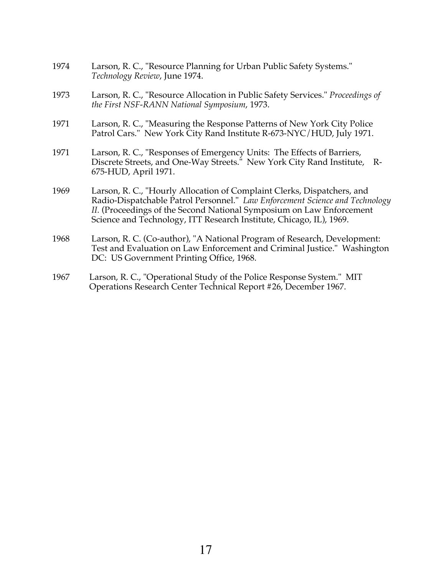- 1974 Larson, R. C., "Resource Planning for Urban Public Safety Systems." *Technology Review*, June 1974.
- 1973 Larson, R. C., "Resource Allocation in Public Safety Services." *Proceedings of the First NSF-RANN National Symposium*, 1973.
- 1971 Larson, R. C., "Measuring the Response Patterns of New York City Police Patrol Cars." New York City Rand Institute R-673-NYC/HUD, July 1971.
- 1971 Larson, R. C., "Responses of Emergency Units: The Effects of Barriers, Discrete Streets, and One-Way Streets." New York City Rand Institute, R-675-HUD, April 1971.
- 1969 Larson, R. C., "Hourly Allocation of Complaint Clerks, Dispatchers, and Radio-Dispatchable Patrol Personnel." *Law Enforcement Science and Technology II.* (Proceedings of the Second National Symposium on Law Enforcement Science and Technology, ITT Research Institute, Chicago, IL), 1969.
- 1968 Larson, R. C. (Co-author), "A National Program of Research, Development: Test and Evaluation on Law Enforcement and Criminal Justice." Washington DC: US Government Printing Office, 1968.
- 1967 Larson, R. C., "Operational Study of the Police Response System." MIT Operations Research Center Technical Report #26, December 1967.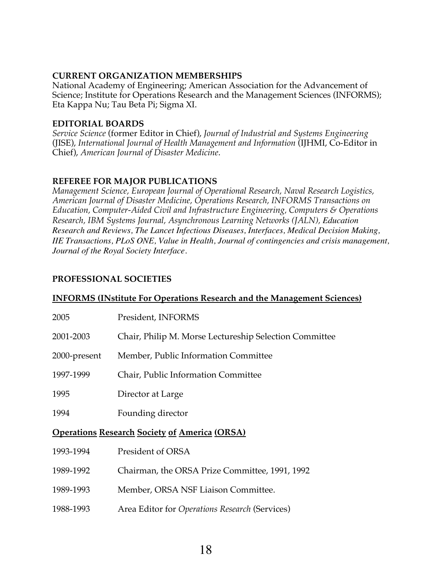#### **CURRENT ORGANIZATION MEMBERSHIPS**

National Academy of Engineering; American Association for the Advancement of Science; Institute for Operations Research and the Management Sciences (INFORMS); Eta Kappa Nu; Tau Beta Pi; Sigma XI.

#### **EDITORIAL BOARDS**

*Service Science* (former Editor in Chief), *Journal of Industrial and Systems Engineering* (JISE), *International Journal of Health Management and Information* (IJHMI, Co-Editor in Chief), *American Journal of Disaster Medicine*.

#### **REFEREE FOR MAJOR PUBLICATIONS**

*Management Science, European Journal of Operational Research, Naval Research Logistics, American Journal of Disaster Medicine, Operations Research, INFORMS Transactions on Education, Computer-Aided Civil and Infrastructure Engineering, Computers & Operations Research, IBM Systems Journal, Asynchronous Learning Networks (JALN), Education Research and Reviews, The Lancet Infectious Diseases, Interfaces, Medical Decision Making, IIE Transactions, PLoS ONE, Value in Health, Journal of contingencies and crisis management, Journal of the Royal Society Interface.*

### **PROFESSIONAL SOCIETIES**

#### **INFORMS (INstitute For Operations Research and the Management Sciences)**

| 2005                                                 | President, INFORMS                                     |  |
|------------------------------------------------------|--------------------------------------------------------|--|
| 2001-2003                                            | Chair, Philip M. Morse Lectureship Selection Committee |  |
| 2000-present                                         | Member, Public Information Committee                   |  |
| 1997-1999                                            | Chair, Public Information Committee                    |  |
| 1995                                                 | Director at Large                                      |  |
| 1994                                                 | Founding director                                      |  |
| <b>Operations Research Society of America (ORSA)</b> |                                                        |  |
| 1993-1994                                            | President of ORSA                                      |  |
| 1989-1992                                            | Chairman, the ORSA Prize Committee, 1991, 1992         |  |
| 1989-1993                                            | Member, ORSA NSF Liaison Committee.                    |  |
| 1988-1993                                            | Area Editor for Operations Research (Services)         |  |